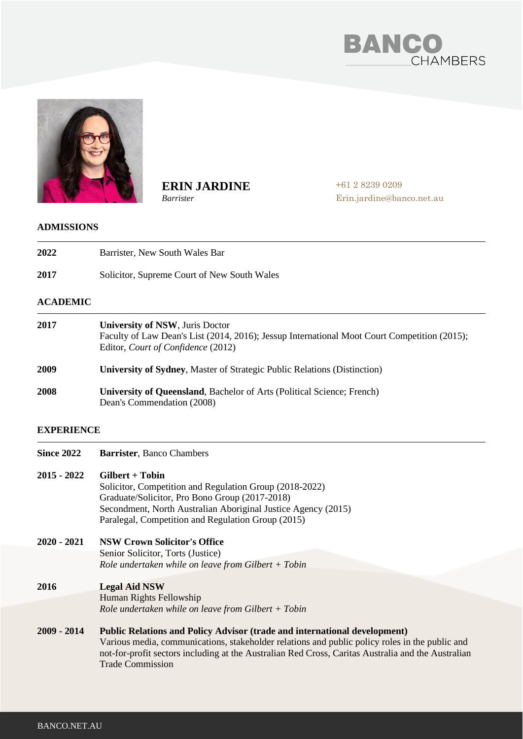



**ERIN JARDINE**

*Barrister*

+61 2 8239 0209 Erin.jardine@banco.net.au

### **ADMISSIONS**

**2022**  Barrister, New South Wales Bar

**2017** Solicitor, Supreme Court of New South Wales

## **ACADEMIC**

| 2017 | <b>University of NSW, Juris Doctor</b><br>Faculty of Law Dean's List (2014, 2016); Jessup International Moot Court Competition (2015);<br>Editor, Court of Confidence (2012) |
|------|------------------------------------------------------------------------------------------------------------------------------------------------------------------------------|
| 2009 | <b>University of Sydney, Master of Strategic Public Relations (Distinction)</b>                                                                                              |
| 2008 | <b>University of Queensland, Bachelor of Arts (Political Science; French)</b>                                                                                                |

# Dean's Commendation (2008)

## **EXPERIENCE**

| <b>Since 2022</b> | <b>Barrister, Banco Chambers</b>                                                                                                                                                                                                                                                                                    |
|-------------------|---------------------------------------------------------------------------------------------------------------------------------------------------------------------------------------------------------------------------------------------------------------------------------------------------------------------|
| $2015 - 2022$     | $Gilbert + Tobin$<br>Solicitor, Competition and Regulation Group (2018-2022)<br>Graduate/Solicitor, Pro Bono Group (2017-2018)<br>Secondment, North Australian Aboriginal Justice Agency (2015)<br>Paralegal, Competition and Regulation Group (2015)                                                               |
| $2020 - 2021$     | <b>NSW Crown Solicitor's Office</b>                                                                                                                                                                                                                                                                                 |
|                   | Senior Solicitor, Torts (Justice)                                                                                                                                                                                                                                                                                   |
|                   | Role undertaken while on leave from Gilbert $+$ Tobin                                                                                                                                                                                                                                                               |
| 2016              | <b>Legal Aid NSW</b>                                                                                                                                                                                                                                                                                                |
|                   | Human Rights Fellowship                                                                                                                                                                                                                                                                                             |
|                   | Role undertaken while on leave from Gilbert $+$ Tobin                                                                                                                                                                                                                                                               |
| $2009 - 2014$     | <b>Public Relations and Policy Advisor (trade and international development)</b><br>Various media, communications, stakeholder relations and public policy roles in the public and<br>not-for-profit sectors including at the Australian Red Cross, Caritas Australia and the Australian<br><b>Trade Commission</b> |